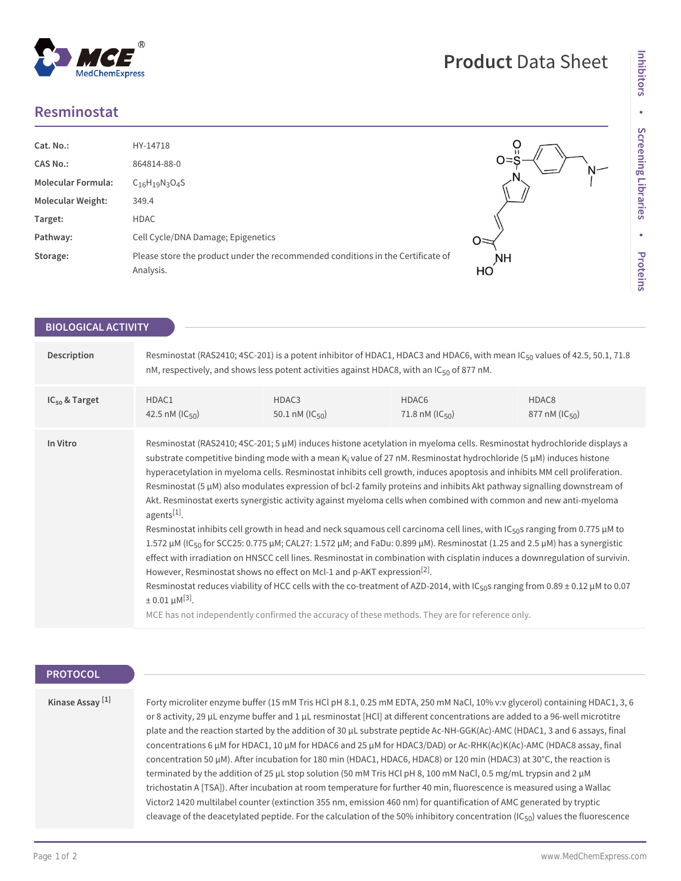## **Resminostat**



| <b>BIOLOGICAL ACTIVITY</b> |                                                                                                                                                                                                                                                                                                                                                                                                                                                                                                                                                                                                                                                                                                                                                                                                                                                                                                                                                                                                                                                                                                                                                                                                                                                                                                                                                                                                                                                    |                                     |                                                 |                                           |  |
|----------------------------|----------------------------------------------------------------------------------------------------------------------------------------------------------------------------------------------------------------------------------------------------------------------------------------------------------------------------------------------------------------------------------------------------------------------------------------------------------------------------------------------------------------------------------------------------------------------------------------------------------------------------------------------------------------------------------------------------------------------------------------------------------------------------------------------------------------------------------------------------------------------------------------------------------------------------------------------------------------------------------------------------------------------------------------------------------------------------------------------------------------------------------------------------------------------------------------------------------------------------------------------------------------------------------------------------------------------------------------------------------------------------------------------------------------------------------------------------|-------------------------------------|-------------------------------------------------|-------------------------------------------|--|
|                            |                                                                                                                                                                                                                                                                                                                                                                                                                                                                                                                                                                                                                                                                                                                                                                                                                                                                                                                                                                                                                                                                                                                                                                                                                                                                                                                                                                                                                                                    |                                     |                                                 |                                           |  |
| Description                | Resminostat (RAS2410; 4SC-201) is a potent inhibitor of HDAC1, HDAC3 and HDAC6, with mean IC <sub>50</sub> values of 42.5, 50.1, 71.8<br>nM, respectively, and shows less potent activities against HDAC8, with an IC $_{50}$ of 877 nM.                                                                                                                                                                                                                                                                                                                                                                                                                                                                                                                                                                                                                                                                                                                                                                                                                                                                                                                                                                                                                                                                                                                                                                                                           |                                     |                                                 |                                           |  |
| $IC_{50}$ & Target         | HDAC1<br>42.5 nM ( $ C_{50}\rangle$                                                                                                                                                                                                                                                                                                                                                                                                                                                                                                                                                                                                                                                                                                                                                                                                                                                                                                                                                                                                                                                                                                                                                                                                                                                                                                                                                                                                                | HDAC3<br>50.1 nM ( $ C_{50}\rangle$ | HDAC <sub>6</sub><br>71.8 nM ( $ C_{50}\rangle$ | HDAC <sub>8</sub><br>877 nM ( $IC_{50}$ ) |  |
| In Vitro                   | Resminostat (RAS2410; 4SC-201; 5 µM) induces histone acetylation in myeloma cells. Resminostat hydrochloride displays a<br>substrate competitive binding mode with a mean $K_i$ value of 27 nM. Resminostat hydrochloride (5 $\mu$ M) induces histone<br>hyperacetylation in myeloma cells. Resminostat inhibits cell growth, induces apoptosis and inhibits MM cell proliferation.<br>Resminostat (5 µM) also modulates expression of bcl-2 family proteins and inhibits Akt pathway signalling downstream of<br>Akt. Resminostat exerts synergistic activity against myeloma cells when combined with common and new anti-myeloma<br>agents[1].<br>Resminostat inhibits cell growth in head and neck squamous cell carcinoma cell lines, with IC <sub>50</sub> s ranging from 0.775 µM to<br>1.572 µM (IC <sub>50</sub> for SCC25: 0.775 µM; CAL27: 1.572 µM; and FaDu: 0.899 µM). Resminostat (1.25 and 2.5 µM) has a synergistic<br>effect with irradiation on HNSCC cell lines. Resminostat in combination with cisplatin induces a downregulation of survivin.<br>However, Resminostat shows no effect on Mcl-1 and p-AKT expression <sup>[2]</sup> .<br>Resminostat reduces viability of HCC cells with the co-treatment of AZD-2014, with IC <sub>50</sub> s ranging from 0.89 ± 0.12 µM to 0.07<br>$\pm$ 0.01 $\mu$ M <sup>[3]</sup> .<br>MCE has not independently confirmed the accuracy of these methods. They are for reference only. |                                     |                                                 |                                           |  |

## **PROTOCOL**

**Kinase Assay [1]**

Forty microliter enzyme buffer (15 mM Tris HCl pH 8.1, 0.25 mM EDTA, 250 mM NaCl, 10% v:v glycerol) containing HDAC1, 3, 6 or 8 activity, 29 μL enzyme buffer and 1 μL resminostat [HCl] at different concentrations are added to a 96-well microtitre plate and the reaction started by the addition of 30 μL substrate peptide Ac-NH-GGK(Ac)-AMC (HDAC1, 3 and 6 assays, final concentrations 6 μM for HDAC1, 10 μM for HDAC6 and 25 μM for HDAC3/DAD) or Ac-RHK(Ac)K(Ac)-AMC (HDAC8 assay, final concentration 50 μM). After incubation for 180 min (HDAC1, HDAC6, HDAC8) or 120 min (HDAC3) at 30°C, the reaction is terminated by the addition of 25 μL stop solution (50 mM Tris HCl pH 8, 100 mM NaCl, 0.5 mg/mL trypsin and 2 μM trichostatin A [TSA]). After incubation at room temperature for further 40 min, fluorescence is measured using a Wallac Victor2 1420 multilabel counter (extinction 355 nm, emission 460 nm) for quantification of AMC generated by tryptic cleavage of the deacetylated peptide. For the calculation of the 50% inhibitory concentration (IC<sub>50</sub>) values the fluorescence

**Product** Data Sheet